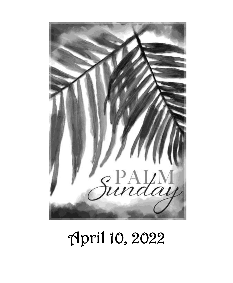

# April 10, 2022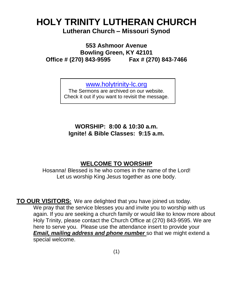### **HOLY TRINITY LUTHERAN CHURCH Lutheran Church – Missouri Synod**

**553 Ashmoor Avenue Bowling Green, KY 42101 Office # (270) 843-9595 Fax # (270) 843-7466**

[www.holytrinity-lc.org](http://www.holytrinity-lc.org/)

The Sermons are archived on our website. Check it out if you want to revisit the message.

**WORSHIP: 8:00 & 10:30 a.m. Ignite! & Bible Classes: 9:15 a.m.**

#### **WELCOME TO WORSHIP**

Hosanna! Blessed is he who comes in the name of the Lord! Let us worship King Jesus together as one body.

**TO OUR VISITORS:** We are delighted that you have joined us today. We pray that the service blesses you and invite you to worship with us again. If you are seeking a church family or would like to know more about Holy Trinity, please contact the Church Office at (270) 843-9595. We are here to serve you. Please use the attendance insert to provide your *Email, mailing address and phone number* so that we might extend a special welcome.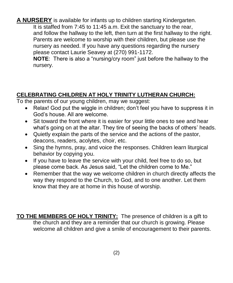**A NURSERY** is available for infants up to children starting Kindergarten. It is staffed from 7:45 to 11:45 a.m. Exit the sanctuary to the rear, and follow the hallway to the left, then turn at the first hallway to the right. Parents are welcome to worship with their children, but please use the nursery as needed. If you have any questions regarding the nursery please contact Laurie Seavey at (270) 991-1172.

**NOTE**: There is also a "nursing/cry room" just before the hallway to the nursery.

#### **CELEBRATING CHILDREN AT HOLY TRINITY LUTHERAN CHURCH:**

To the parents of our young children, may we suggest:

- Relax! God put the wiggle in children; don't feel you have to suppress it in God's house. All are welcome.
- Sit toward the front where it is easier for your little ones to see and hear what's going on at the altar. They tire of seeing the backs of others' heads.
- Quietly explain the parts of the service and the actions of the pastor, deacons, readers, acolytes, choir, etc.
- Sing the hymns, pray, and voice the responses. Children learn liturgical behavior by copying you.
- If you have to leave the service with your child, feel free to do so, but please come back. As Jesus said, "Let the children come to Me."
- Remember that the way we welcome children in church directly affects the way they respond to the Church, to God, and to one another. Let them know that they are at home in this house of worship.

**TO THE MEMBERS OF HOLY TRINITY:** The presence of children is a gift to the church and they are a reminder that our church is growing. Please welcome all children and give a smile of encouragement to their parents.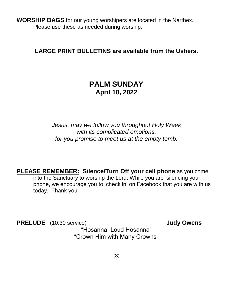**WORSHIP BAGS** for our young worshipers are located in the Narthex. Please use these as needed during worship.

#### **LARGE PRINT BULLETINS are available from the Ushers.**

#### **PALM SUNDAY April 10, 2022**

*Jesus, may we follow you throughout Holy Week with its complicated emotions, for you promise to meet us at the empty tomb.*

**PLEASE REMEMBER: Silence/Turn Off your cell phone** as you come into the Sanctuary to worship the Lord. While you are silencing your phone, we encourage you to 'check in' on Facebook that you are with us today. Thank you.

**PRELUDE** (10:30 service) **Judy Owens** "Hosanna, Loud Hosanna" "Crown Him with Many Crowns"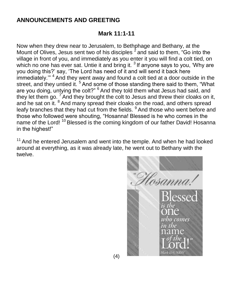#### **ANNOUNCEMENTS AND GREETING**

#### **Mark 11:1-11**

Now when they drew near to Jerusalem, to Bethphage and Bethany, at the Mount of Olives, Jesus sent two of his disciples  $^2$  and said to them, "Go into the village in front of you, and immediately as you enter it you will find a colt tied, on which no one has ever sat. Untie it and bring it.  $3$  If anyone says to you, 'Why are you doing this?' say, 'The Lord has need of it and will send it back here immediately."<sup>4</sup> And they went away and found a colt tied at a door outside in the street, and they untied it. <sup>5</sup> And some of those standing there said to them, "What are you doing, untying the colt?" <sup>6</sup> And they told them what Jesus had said, and they let them go.  $7$  And they brought the colt to Jesus and threw their cloaks on it, and he sat on it. <sup>8</sup> And many spread their cloaks on the road, and others spread leafy branches that they had cut from the fields. <sup>9</sup> And those who went before and those who followed were shouting, "Hosanna! Blessed is he who comes in the name of the Lord!<sup>10</sup> Blessed is the coming kingdom of our father David! Hosanna in the highest!"

 $11$  And he entered Jerusalem and went into the temple. And when he had looked around at everything, as it was already late, he went out to Bethany with the twelve.

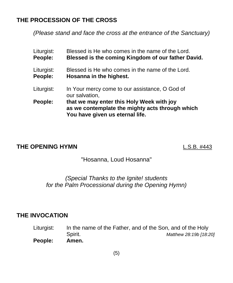#### **THE PROCESSION OF THE CROSS**

*(Please stand and face the cross at the entrance of the Sanctuary)*

| Blessed is He who comes in the name of the Lord.<br>Blessed is the coming Kingdom of our father David.                          |
|---------------------------------------------------------------------------------------------------------------------------------|
| Blessed is He who comes in the name of the Lord.<br>Hosanna in the highest.                                                     |
| In Your mercy come to our assistance, O God of<br>our salvation,                                                                |
| that we may enter this Holy Week with joy<br>as we contemplate the mighty acts through which<br>You have given us eternal life. |
|                                                                                                                                 |

#### **THE OPENING HYMN** L.S.B. #443

#### "Hosanna, Loud Hosanna"

#### *(Special Thanks to the Ignite! students for the Palm Processional during the Opening Hymn)*

#### **THE INVOCATION**

Liturgist: In the name of the Father, and of the Son, and of the Holy Spirit. *Matthew 28:19b [18:20]* **People: Amen.**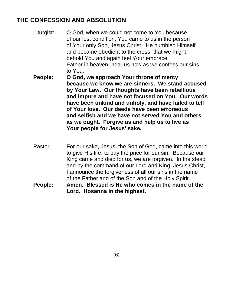#### **THE CONFESSION AND ABSOLUTION**

- Liturgist: O God, when we could not come to You because of our lost condition, You came to us in the person of Your only Son, Jesus Christ. He humbled Himself and became obedient to the cross, that we might behold You and again feel Your embrace. Father in heaven, hear us now as we confess our sins to You.
- **People: O God, we approach Your throne of mercy because we know we are sinners. We stand accused by Your Law. Our thoughts have been rebellious and impure and have not focused on You. Our words have been unkind and unholy, and have failed to tell of Your love. Our deeds have been erroneous and selfish and we have not served You and others as we ought. Forgive us and help us to live as Your people for Jesus' sake.**
- Pastor: For our sake, Jesus, the Son of God, came into this world to give His life, to pay the price for our sin. Because our King came and died for us, we are forgiven. In the stead and by the command of our Lord and King, Jesus Christ, I announce the forgiveness of all our sins in the name of the Father and of the Son and of the Holy Spirit.
- **People: Amen. Blessed is He who comes in the name of the Lord. Hosanna in the highest.**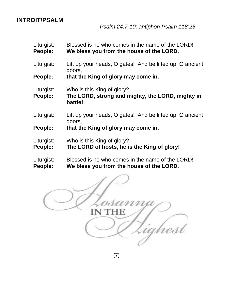#### **INTROIT/PSALM**

#### Liturgist: Blessed is he who comes in the name of the LORD! **People: We bless you from the house of the LORD.**

Liturgist: Lift up your heads, O gates! And be lifted up, O ancient doors,

**People: that the King of glory may come in.**

Liturgist: Who is this King of glory?

**People: The LORD, strong and mighty, the LORD, mighty in battle!**

Liturgist: Lift up your heads, O gates! And be lifted up, O ancient doors,

**People: that the King of glory may come in.**

Liturgist: Who is this King of glory?

**People: The LORD of hosts, he is the King of glory!**

#### Liturgist: Blessed is he who comes in the name of the LORD! **People: We bless you from the house of the LORD.**

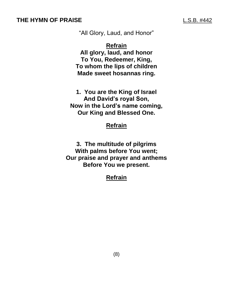"All Glory, Laud, and Honor"

**Refrain**

**All glory, laud, and honor To You, Redeemer, King, To whom the lips of children Made sweet hosannas ring.**

**1. You are the King of Israel And David's royal Son, Now in the Lord's name coming, Our King and Blessed One.**

#### **Refrain**

**3. The multitude of pilgrims With palms before You went; Our praise and prayer and anthems Before You we present.**

#### **Refrain**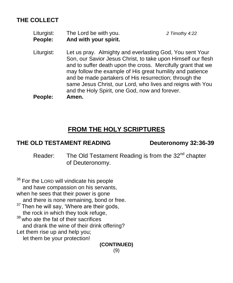#### **THE COLLECT**

| Liturgist:     | The Lord be with you. | 2 Timothy 4:22 |
|----------------|-----------------------|----------------|
| <b>People:</b> | And with your spirit. |                |

Liturgist: Let us pray. Almighty and everlasting God, You sent Your Son, our Savior Jesus Christ, to take upon Himself our flesh and to suffer death upon the cross. Mercifully grant that we may follow the example of His great humility and patience and be made partakers of His resurrection; through the same Jesus Christ, our Lord, who lives and reigns with You and the Holy Spirit, one God, now and forever. **People: Amen.**

#### **FROM THE HOLY SCRIPTURES**

#### **THE OLD TESTAMENT READING Deuteronomy 32:36-39**

Reader: The Old Testament Reading is from the 32<sup>nd</sup> chapter of Deuteronomy.

<sup>36</sup> For the LORD will vindicate his people and have compassion on his servants, when he sees that their power is gone and there is none remaining, bond or free.  $37$  Then he will say, 'Where are their gods, the rock in which they took refuge,<br><sup>38</sup> who ato the fat of their cacrifices. who ate the fat of their sacrifices and drank the wine of their drink offering? Let them rise up and help you; let them be your protection! **(CONTINUED)**

(9)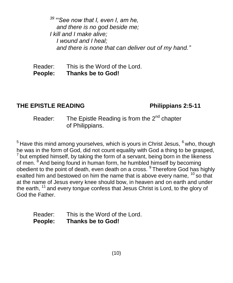*<sup>39</sup> "'See now that I, even I, am he, and there is no god beside me; I kill and I make alive; I wound and I heal; and there is none that can deliver out of my hand."*

Reader: This is the Word of the Lord. **People: Thanks be to God!**

#### **THE EPISTLE READING Philippians 2:5-11**

#### Reader: The Epistle Reading is from the 2<sup>nd</sup> chapter of Philippians.

 $5$  Have this mind among yourselves, which is yours in Christ Jesus,  $6$  who, though he was in the form of God, did not count equality with God a thing to be grasped,  $7$  but emptied himself, by taking the form of a servant, being born in the likeness of men. <sup>8</sup> And being found in human form, he humbled himself by becoming obedient to the point of death, even death on a cross. <sup>9</sup> Therefore God has highly exalted him and bestowed on him the name that is above every name,  $10$  so that at the name of Jesus every knee should bow, in heaven and on earth and under the earth, <sup>11</sup> and every tongue confess that Jesus Christ is Lord, to the glory of God the Father.

| Reader:        | This is the Word of the Lord. |
|----------------|-------------------------------|
| <b>People:</b> | <b>Thanks be to God!</b>      |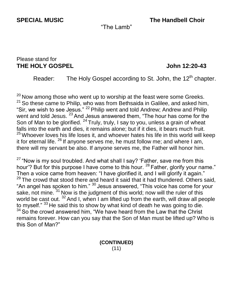**SPECIAL MUSIC The Handbell Choir**

"The Lamb"

#### Please stand for **THE HOLY GOSPEL John 12:20-43**

Reader: The Holy Gospel according to St. John, the  $12<sup>th</sup>$  chapter.

 $20$  Now among those who went up to worship at the feast were some Greeks.  $21$  So these came to Philip, who was from Bethsaida in Galilee, and asked him, "Sir, we wish to see Jesus." <sup>22</sup> Philip went and told Andrew; Andrew and Philip went and told Jesus.  $^{23}$  And Jesus answered them, "The hour has come for the Son of Man to be glorified.  $^{24}$  Truly, truly, I say to you, unless a grain of wheat falls into the earth and dies, it remains alone; but if it dies, it bears much fruit.  $25$  Whoever loves his life loses it, and whoever hates his life in this world will keep it for eternal life. <sup>26</sup> If anyone serves me, he must follow me; and where I am, there will my servant be also. If anyone serves me, the Father will honor him.

 $27$  "Now is my soul troubled. And what shall I say? 'Father, save me from this hour'? But for this purpose I have come to this hour. <sup>28</sup> Father, glorify your name." Then a voice came from heaven: "I have glorified it, and I will glorify it again."  $29$  The crowd that stood there and heard it said that it had thundered. Others said, "An angel has spoken to him."  $30$  Jesus answered, "This voice has come for your sake, not mine. <sup>31</sup> Now is the judgment of this world; now will the ruler of this world be cast out. <sup>32</sup> And I, when I am lifted up from the earth, will draw all people to myself." 33 He said this to show by what kind of death he was going to die.  $34$  So the crowd answered him. "We have heard from the Law that the Christ remains forever. How can you say that the Son of Man must be lifted up? Who is this Son of Man?"

> **(CONTINUED)** (11)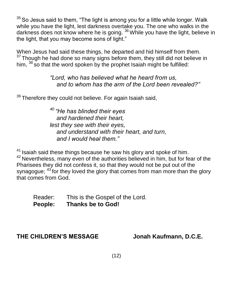$35$  So Jesus said to them, "The light is among you for a little while longer. Walk while you have the light, lest darkness overtake you. The one who walks in the darkness does not know where he is going. <sup>36</sup> While you have the light, believe in the light, that you may become sons of light."

When Jesus had said these things, he departed and hid himself from them.  $37$  Though he had done so many signs before them, they still did not believe in him,  $38$  so that the word spoken by the prophet Isaiah might be fulfilled:

> *"Lord, who has believed what he heard from us, and to whom has the arm of the Lord been revealed?"*

 $39$  Therefore they could not believe. For again Isaiah said,

*<sup>40</sup> "He has blinded their eyes and hardened their heart, lest they see with their eyes, and understand with their heart, and turn, and I would heal them."*

<sup>41</sup> Isaiah said these things because he saw his glory and spoke of him. <sup>42</sup> Nevertheless, many even of the authorities believed in him, but for fear of the Pharisees they did not confess it, so that they would not be put out of the synagogue;  $43$  for they loved the glory that comes from man more than the glory that comes from God.

Reader: This is the Gospel of the Lord. **People: Thanks be to God!**

#### **THE CHILDREN'S MESSAGE Jonah Kaufmann, D.C.E.**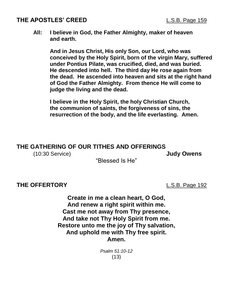#### **THE APOSTLES' CREED** L.S.B. Page 159

#### **All: I believe in God, the Father Almighty, maker of heaven and earth.**

**And in Jesus Christ, His only Son, our Lord, who was conceived by the Holy Spirit, born of the virgin Mary, suffered under Pontius Pilate, was crucified, died, and was buried. He descended into hell. The third day He rose again from the dead. He ascended into heaven and sits at the right hand of God the Father Almighty. From thence He will come to judge the living and the dead.**

**I believe in the Holy Spirit, the holy Christian Church, the communion of saints, the forgiveness of sins, the resurrection of the body, and the life everlasting. Amen.**

#### **THE GATHERING OF OUR TITHES AND OFFERINGS**

(10:30 Service) **Judy Owens**

"Blessed Is He"

#### **THE OFFERTORY** L.S.B. Page 192

**Create in me a clean heart, O God, And renew a right spirit within me. Cast me not away from Thy presence, And take not Thy Holy Spirit from me. Restore unto me the joy of Thy salvation, And uphold me with Thy free spirit. Amen.**

> *Psalm 51:10-12* (13)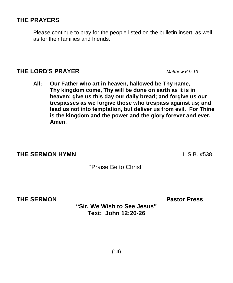#### $(14)$

### **THE PRAYERS**

Please continue to pray for the people listed on the bulletin insert, as well as for their families and friends.

#### **THE LORD'S PRAYER** *Matthew 6:9-13*

**All: Our Father who art in heaven, hallowed be Thy name, Thy kingdom come, Thy will be done on earth as it is in heaven; give us this day our daily bread; and forgive us our trespasses as we forgive those who trespass against us; and lead us not into temptation, but deliver us from evil. For Thine is the kingdom and the power and the glory forever and ever. Amen.**

#### **THE SERMON HYMN** L.S.B. #538

**THE SERMON Pastor Press**

**"Sir, We Wish to See Jesus" Text: John 12:20-26**

"Praise Be to Christ"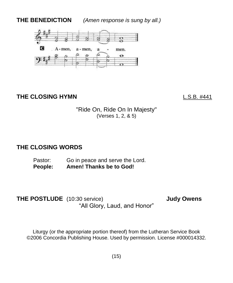**THE BENEDICTION** *(Amen response is sung by all.)*



#### **THE CLOSING HYMN** L.S.B. #441

"Ride On, Ride On In Majesty" (Verses 1, 2, & 5)

#### **THE CLOSING WORDS**

Pastor: Go in peace and serve the Lord. **People: Amen! Thanks be to God!**

**THE POSTLUDE** (10:30 service) **Judy Owens** "All Glory, Laud, and Honor"

Liturgy (or the appropriate portion thereof) from the Lutheran Service Book ©2006 Concordia Publishing House. Used by permission. License #000014332.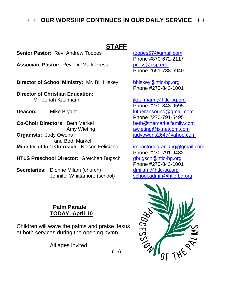#### **+ + OUR WORSHIP CONTINUES IN OUR DAILY SERVICE + +**

#### **STAFF**

**Senior Pastor:** Rev. Andrew Toopes [toopes57@gmail.com](mailto:toopes57@gmail.com)

Associate Pastor: Rev. Dr. Mark Press [press@csp.edu](mailto:press@csp.edu)

**Director of School Ministry:** Mr. Bill Hiskey [bhiskey@htlc-bg.org](mailto:bhiskey@htlc-bg.org)

**Director of Christian Education:**  Mr. Jonah Kaufmann is a state of the state of the state of the state of the state of the state of the state of the state of the state of the state of the state of the state of the state of the state of the state of the sta

**Co-Choir Directors:** Beth Markel beth **[beth@themarkelfamily.com](mailto:beth@themarkelfamily.com) Organists:** Judy Owens *Companists: Judy Owens* **Companists: Judy Owens Companists: Judy Owens Companists: Judy Owens**  and Beth Markel **Minister of Int'l Outreach**: Nelson Feliciano [impactodegraciabg@gmail.com](mailto:impactodegraciabg@gmail.com)

**HTLS Preschool Director:** Gretchen Bugsch [gbugsch@htlc-bg.org](mailto:gbugsch@htlc-bg.org)

**Secretaries:** Dionne Milam (church)<br>Jennifer Whittamore (school) school.admin@htlc-bg.org Jennifer Whittamore (school)

> **Palm Parade TODAY, April 10**

Children will wave the palms and praise Jesus at both services during the opening hymn.

All ages invited.

Phone #870-672-2117 Phone #651-788-6940

Phone #270-843-1001

Phone #270-843-9595 **Deacon:** Mike Bryant [lutheransound@gmail.com](mailto:lutheransound@gmail.com) Phone #270-791-5495 Amy Wieting **[awieting@ix.netcom.com](mailto:awieting@ix.netcom.com)** 

> Phone #270-791-9432 Phone #270-843-1001



(16)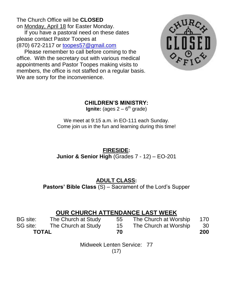The Church Office will be **CLOSED** on Monday, April 18 for Easter Monday.

 If you have a pastoral need on these dates please contact Pastor Toopes at (870) 672-2117 or [toopes57@gmail.com](mailto:toopes57@gmail.com)

 Please remember to call before coming to the office. With the secretary out with various medical appointments and Pastor Toopes making visits to members, the office is not staffed on a regular basis. We are sorry for the inconvenience.



#### **CHILDREN'S MINISTRY:**

**Ignite:** (ages 2 – 6<sup>th</sup> grade)

We meet at 9:15 a.m. in EO-111 each Sunday. Come join us in the fun and learning during this time!

#### **FIRESIDE: Junior & Senior High** (Grades 7 - 12) – EO-201

#### **ADULT CLASS:**

**Pastors' Bible Class** (S) – Sacrament of the Lord's Supper

#### **OUR CHURCH ATTENDANCE LAST WEEK**

| BG site:     | The Church at Study | 55 | The Church at Worship | 170  |
|--------------|---------------------|----|-----------------------|------|
| SG site:     | The Church at Study | 15 | The Church at Worship | - 30 |
| <b>TOTAL</b> |                     | 70 |                       | 200  |

Midweek Lenten Service: 77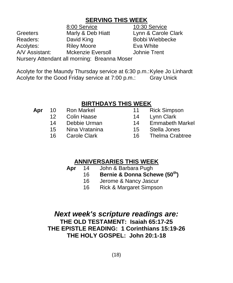#### **SERVING THIS WEEK**

8:00 Service 10:30 Service Greeters Marly & Deb Hiatt Lynn & Carole Clark Readers: David King Bobbi Wiebbecke Acolytes: Riley Moore Eva White A/V Assistant: Mckenzie Eversoll Johnie Trent Nursery Attendant all morning: Breanna Moser

Acolyte for the Maundy Thursday service at 6:30 p.m.:Kylee Jo Linhardt Acolyte for the Good Friday service at 7:00 p.m.: Gray Unick

#### **BIRTHDAYS THIS WEEK**

| Apr | 10              | <b>Ron Markel</b>   | 11  | <b>Rick Simpson</b>  |
|-----|-----------------|---------------------|-----|----------------------|
|     | 12 <sub>1</sub> | <b>Colin Haase</b>  | 14  | Lynn Clark           |
|     | 14              | Debbie Urman        | 14  | <b>Emmabeth Ma</b>   |
|     | 15 <sub>1</sub> | Nina Vratanina      | 15. | Stella Jones         |
|     | 16.             | <b>Carole Clark</b> | 16. | <b>Thelma Crabti</b> |

- 
- 4 Lynn Clark
- 4 Emmabeth Markel
- 5 Stella Jones
- 6 Thelma Crabtree

#### **ANNIVERSARIES THIS WEEK**

- **Apr** 14 John & Barbara Pugh
	- 16 **Bernie & Donna Schewe (50th )**
		- 16 Jerome & Nancy Jascur
		- 16 Rick & Margaret Simpson

#### *Next week's scripture readings are:* **THE OLD TESTAMENT: Isaiah 65:17-25 THE EPISTLE READING: 1 Corinthians 15:19-26 THE HOLY GOSPEL: John 20:1-18**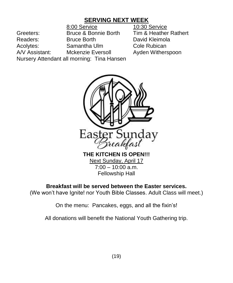#### **SERVING NEXT WEEK**

8:00 Service 10:30 Service Greeters: Bruce & Bonnie Borth Tim & Heather Rathert Readers: Bruce Borth David Kleimola Acolytes: Samantha Ulm Cole Rubican A/V Assistant: Mckenzie Eversoll Ayden Witherspoon Nursery Attendant all morning: Tina Hansen



 $7:00 - 10:00$  a.m. Fellowship Hall

#### **Breakfast will be served between the Easter services.**

(We won't have Ignite! nor Youth Bible Classes. Adult Class will meet.)

On the menu: Pancakes, eggs, and all the fixin's!

All donations will benefit the National Youth Gathering trip.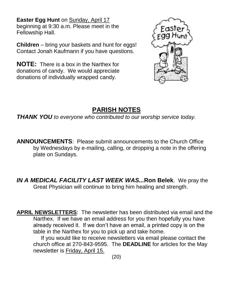**Easter Egg Hunt** on Sunday, April 17 beginning at 9:30 a.m. Please meet in the Fellowship Hall.

**Children** – bring your baskets and hunt for eggs! Contact Jonah Kaufmann if you have questions.

**NOTE:** There is a box in the Narthex for donations of candy. We would appreciate donations of individually wrapped candy.



### **PARISH NOTES**

*THANK YOU to everyone who contributed to our worship service today.* 

**ANNOUNCEMENTS**: Please submit announcements to the Church Office by Wednesdays by e-mailing, calling, or dropping a note in the offering plate on Sundays.

*IN A MEDICAL FACILITY LAST WEEK WAS...***Ron Belek**. We pray the Great Physician will continue to bring him healing and strength.

**APRIL NEWSLETTERS**: The newsletter has been distributed via email and the Narthex. If we have an email address for you then hopefully you have already received it. If we don't have an email, a printed copy is on the table in the Narthex for you to pick up and take home.

 If you would like to receive newsletters via email please contact the church office at 270-843-9595. The **DEADLINE** for articles for the May newsletter is Friday, April 15.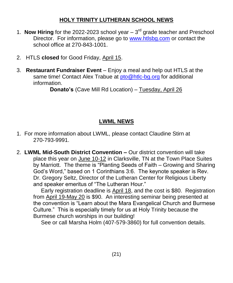#### **HOLY TRINITY LUTHERAN SCHOOL NEWS**

- 1. **Now Hiring** for the 2022-2023 school year  $-3<sup>rd</sup>$  grade teacher and Preschool Director. For information, please go to [www.htlsbg.com](http://www.htlsbg.com/) or contact the school office at 270-843-1001.
- 2. HTLS **closed** for Good Friday, April 15.
- 3. **Restaurant Fundraiser Event** Enjoy a meal and help out HTLS at the same time! Contact Alex Trabue at [pto@htlc-bg.org](mailto:pto@htlc-bg.org) for additional information.

**Donato's** (Cave Mill Rd Location) – Tuesday, April 26

#### **LWML NEWS**

- 1. For more information about LWML, please contact Claudine Stirn at 270-793-9991.
- 2. **LWML Mid-South District Convention –** Our district convention will take place this year on June 10-12 in Clarksville, TN at the Town Place Suites by Marriott. The theme is "Planting Seeds of Faith – Growing and Sharing God's Word," based on 1 Corinthians 3:6. The keynote speaker is Rev. Dr. Gregory Seltz, Director of the Lutheran Center for Religious Liberty and speaker emeritus of "The Lutheran Hour."

 Early registration deadline is April 18, and the cost is \$80. Registration from April 19-May 20 is \$90. An interesting seminar being presented at the convention is "Learn about the Mara Evangelical Church and Burmese Culture." This is especially timely for us at Holy Trinity because the Burmese church worships in our building!

See or call Marsha Holm (407-579-3860) for full convention details.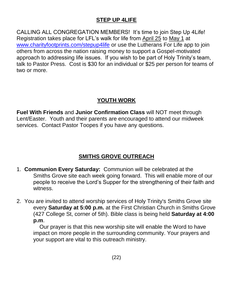#### **STEP UP 4LIFE**

CALLING ALL CONGREGATION MEMBERS! It's time to join Step Up 4Life! Registration takes place for LFL's walk for life from April 25 to May 1 at [www.charityfootprints.com/stepup4life](http://www.charityfootprints.com/stepup4life) or use the Lutherans For Life app to join others from across the nation raising money to support a Gospel-motivated approach to addressing life issues. If you wish to be part of Holy Trinity's team, talk to Pastor Press. Cost is \$30 for an individual or \$25 per person for teams of two or more.

#### **YOUTH WORK**

**Fuel With Friends** and **Junior Confirmation Class** will NOT meet through Lent/Easter. Youth and their parents are encouraged to attend our midweek services. Contact Pastor Toopes if you have any questions.

#### **SMITHS GROVE OUTREACH**

- 1. **Communion Every Saturday:** Communion will be celebrated at the Smiths Grove site each week going forward. This will enable more of our people to receive the Lord's Supper for the strengthening of their faith and witness.
- 2. You are invited to attend worship services of Holy Trinity's Smiths Grove site every **Saturday at 5:00 p.m.** at the First Christian Church in Smiths Grove (427 College St, corner of 5th). Bible class is being held **Saturday at 4:00 p.m**.

 Our prayer is that this new worship site will enable the Word to have impact on more people in the surrounding community. Your prayers and your support are vital to this outreach ministry.